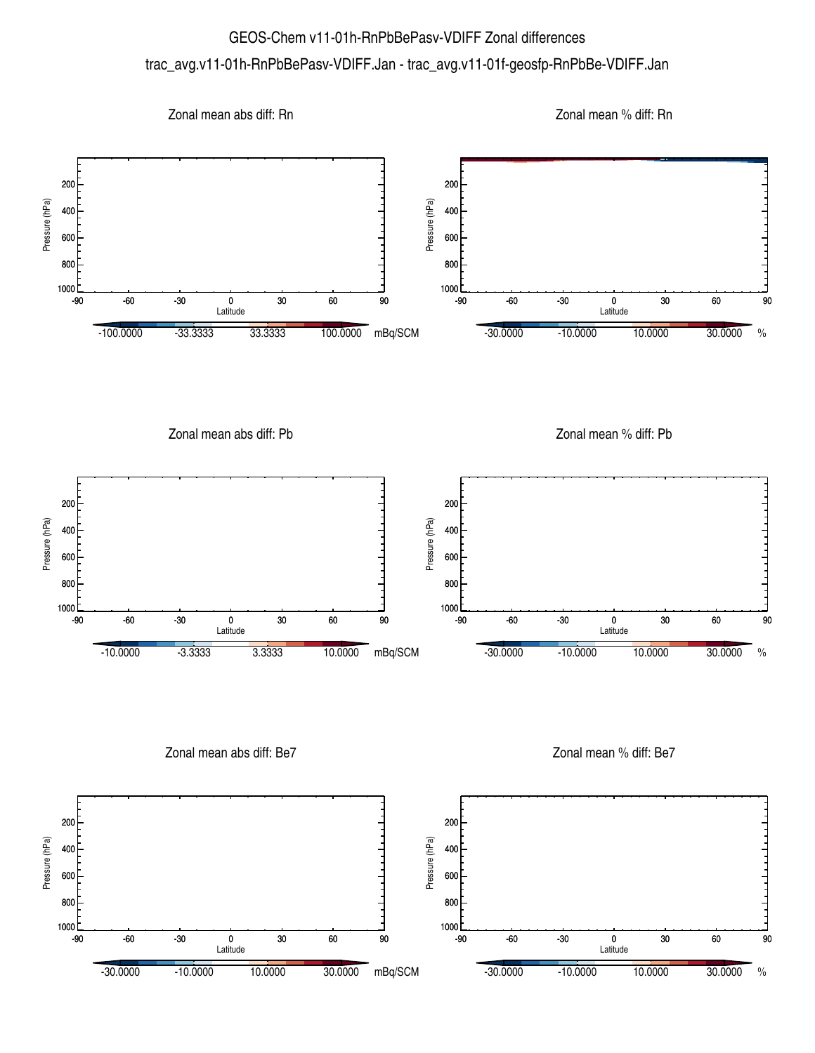## GEOS-Chem v11-01h-RnPbBePasv-VDIFF Zonal differences trac\_avg.v11-01h-RnPbBePasv-VDIFF.Jan - trac\_avg.v11-01f-geosfp-RnPbBe-VDIFF.Jan